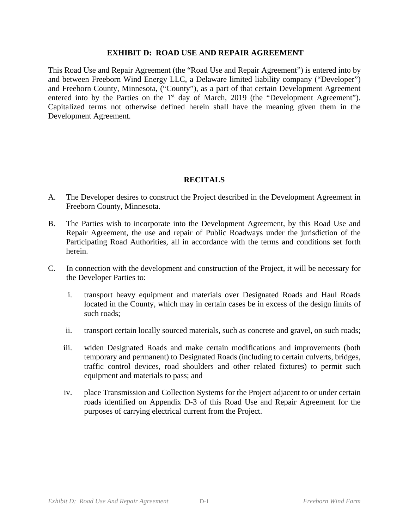This Road Use and Repair Agreement (the "Road Use and Repair Agreement") is entered into by and between Freeborn Wind Energy LLC, a Delaware limited liability company ("Developer") and Freeborn County, Minnesota, ("County"), as a part of that certain Development Agreement entered into by the Parties on the  $1<sup>st</sup>$  day of March, 2019 (the "Development Agreement"). Capitalized terms not otherwise defined herein shall have the meaning given them in the Development Agreement.

# **RECITALS**

- A. The Developer desires to construct the Project described in the Development Agreement in Freeborn County, Minnesota.
- B. The Parties wish to incorporate into the Development Agreement, by this Road Use and Repair Agreement, the use and repair of Public Roadways under the jurisdiction of the Participating Road Authorities, all in accordance with the terms and conditions set forth herein.
- C. In connection with the development and construction of the Project, it will be necessary for the Developer Parties to:
	- i. transport heavy equipment and materials over Designated Roads and Haul Roads located in the County, which may in certain cases be in excess of the design limits of such roads;
	- ii. transport certain locally sourced materials, such as concrete and gravel, on such roads;
	- iii. widen Designated Roads and make certain modifications and improvements (both temporary and permanent) to Designated Roads (including to certain culverts, bridges, traffic control devices, road shoulders and other related fixtures) to permit such equipment and materials to pass; and
	- iv. place Transmission and Collection Systems for the Project adjacent to or under certain roads identified on Appendix D-3 of this Road Use and Repair Agreement for the purposes of carrying electrical current from the Project.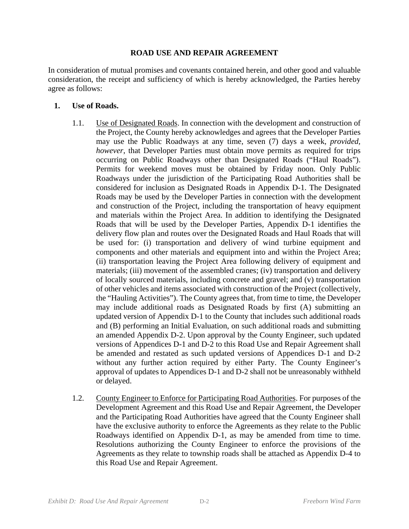## **ROAD USE AND REPAIR AGREEMENT**

In consideration of mutual promises and covenants contained herein, and other good and valuable consideration, the receipt and sufficiency of which is hereby acknowledged, the Parties hereby agree as follows:

## **1. Use of Roads.**

- 1.1. Use of Designated Roads. In connection with the development and construction of the Project, the County hereby acknowledges and agrees that the Developer Parties may use the Public Roadways at any time, seven (7) days a week, *provided, however*, that Developer Parties must obtain move permits as required for trips occurring on Public Roadways other than Designated Roads ("Haul Roads"). Permits for weekend moves must be obtained by Friday noon. Only Public Roadways under the jurisdiction of the Participating Road Authorities shall be considered for inclusion as Designated Roads in Appendix D-1. The Designated Roads may be used by the Developer Parties in connection with the development and construction of the Project, including the transportation of heavy equipment and materials within the Project Area. In addition to identifying the Designated Roads that will be used by the Developer Parties, Appendix D-1 identifies the delivery flow plan and routes over the Designated Roads and Haul Roads that will be used for: (i) transportation and delivery of wind turbine equipment and components and other materials and equipment into and within the Project Area; (ii) transportation leaving the Project Area following delivery of equipment and materials; (iii) movement of the assembled cranes; (iv) transportation and delivery of locally sourced materials, including concrete and gravel; and (v) transportation of other vehicles and items associated with construction of the Project (collectively, the "Hauling Activities"). The County agrees that, from time to time, the Developer may include additional roads as Designated Roads by first (A) submitting an updated version of Appendix D-1 to the County that includes such additional roads and (B) performing an Initial Evaluation, on such additional roads and submitting an amended Appendix D-2. Upon approval by the County Engineer, such updated versions of Appendices D-1 and D-2 to this Road Use and Repair Agreement shall be amended and restated as such updated versions of Appendices D-1 and D-2 without any further action required by either Party. The County Engineer's approval of updates to Appendices D-1 and D-2 shall not be unreasonably withheld or delayed.
- 1.2. County Engineer to Enforce for Participating Road Authorities. For purposes of the Development Agreement and this Road Use and Repair Agreement, the Developer and the Participating Road Authorities have agreed that the County Engineer shall have the exclusive authority to enforce the Agreements as they relate to the Public Roadways identified on Appendix D-1, as may be amended from time to time. Resolutions authorizing the County Engineer to enforce the provisions of the Agreements as they relate to township roads shall be attached as Appendix D-4 to this Road Use and Repair Agreement.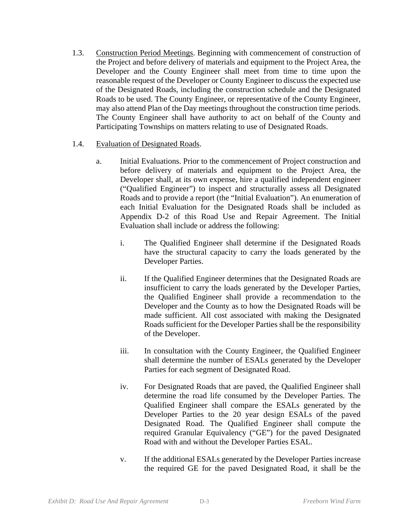- 1.3. Construction Period Meetings. Beginning with commencement of construction of the Project and before delivery of materials and equipment to the Project Area, the Developer and the County Engineer shall meet from time to time upon the reasonable request of the Developer or County Engineer to discuss the expected use of the Designated Roads, including the construction schedule and the Designated Roads to be used. The County Engineer, or representative of the County Engineer, may also attend Plan of the Day meetings throughout the construction time periods. The County Engineer shall have authority to act on behalf of the County and Participating Townships on matters relating to use of Designated Roads.
- 1.4. Evaluation of Designated Roads.
	- a. Initial Evaluations. Prior to the commencement of Project construction and before delivery of materials and equipment to the Project Area, the Developer shall, at its own expense, hire a qualified independent engineer ("Qualified Engineer") to inspect and structurally assess all Designated Roads and to provide a report (the "Initial Evaluation"). An enumeration of each Initial Evaluation for the Designated Roads shall be included as Appendix D-2 of this Road Use and Repair Agreement. The Initial Evaluation shall include or address the following:
		- i. The Qualified Engineer shall determine if the Designated Roads have the structural capacity to carry the loads generated by the Developer Parties.
		- ii. If the Qualified Engineer determines that the Designated Roads are insufficient to carry the loads generated by the Developer Parties, the Qualified Engineer shall provide a recommendation to the Developer and the County as to how the Designated Roads will be made sufficient. All cost associated with making the Designated Roads sufficient for the Developer Parties shall be the responsibility of the Developer.
		- iii. In consultation with the County Engineer, the Qualified Engineer shall determine the number of ESALs generated by the Developer Parties for each segment of Designated Road.
		- iv. For Designated Roads that are paved, the Qualified Engineer shall determine the road life consumed by the Developer Parties. The Qualified Engineer shall compare the ESALs generated by the Developer Parties to the 20 year design ESALs of the paved Designated Road. The Qualified Engineer shall compute the required Granular Equivalency ("GE") for the paved Designated Road with and without the Developer Parties ESAL.
		- v. If the additional ESALs generated by the Developer Parties increase the required GE for the paved Designated Road, it shall be the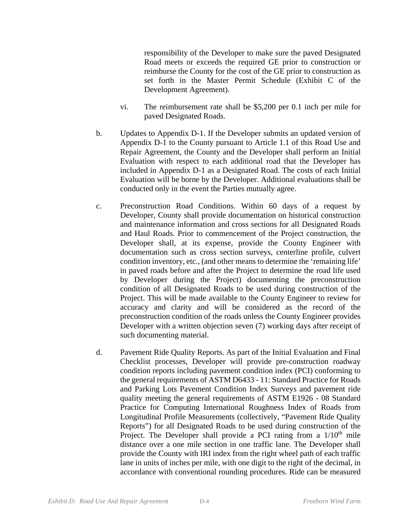responsibility of the Developer to make sure the paved Designated Road meets or exceeds the required GE prior to construction or reimburse the County for the cost of the GE prior to construction as set forth in the Master Permit Schedule (Exhibit C of the Development Agreement).

- vi. The reimbursement rate shall be \$5,200 per 0.1 inch per mile for paved Designated Roads.
- b. Updates to Appendix D-1. If the Developer submits an updated version of Appendix D-1 to the County pursuant to Article 1.1 of this Road Use and Repair Agreement, the County and the Developer shall perform an Initial Evaluation with respect to each additional road that the Developer has included in Appendix D-1 as a Designated Road. The costs of each Initial Evaluation will be borne by the Developer. Additional evaluations shall be conducted only in the event the Parties mutually agree.
- c. Preconstruction Road Conditions. Within 60 days of a request by Developer, County shall provide documentation on historical construction and maintenance information and cross sections for all Designated Roads and Haul Roads. Prior to commencement of the Project construction, the Developer shall, at its expense, provide the County Engineer with documentation such as cross section surveys, centerline profile, culvert condition inventory, etc., (and other means to determine the 'remaining life' in paved roads before and after the Project to determine the road life used by Developer during the Project) documenting the preconstruction condition of all Designated Roads to be used during construction of the Project. This will be made available to the County Engineer to review for accuracy and clarity and will be considered as the record of the preconstruction condition of the roads unless the County Engineer provides Developer with a written objection seven (7) working days after receipt of such documenting material.
- d. Pavement Ride Quality Reports. As part of the Initial Evaluation and Final Checklist processes, Developer will provide pre-construction roadway condition reports including pavement condition index (PCI) conforming to the general requirements of ASTM D6433 - 11: Standard Practice for Roads and Parking Lots Pavement Condition Index Surveys and pavement ride quality meeting the general requirements of ASTM E1926 - 08 Standard Practice for Computing International Roughness Index of Roads from Longitudinal Profile Measurements (collectively, "Pavement Ride Quality Reports") for all Designated Roads to be used during construction of the Project. The Developer shall provide a PCI rating from a  $1/10<sup>th</sup>$  mile distance over a one mile section in one traffic lane. The Developer shall provide the County with IRI index from the right wheel path of each traffic lane in units of inches per mile, with one digit to the right of the decimal, in accordance with conventional rounding procedures. Ride can be measured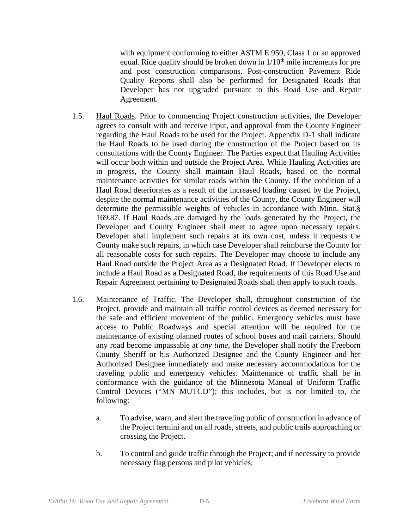with equipment conforming to either ASTM E 950, Class 1 or an approved equal. Ride quality should be broken down in  $1/10<sup>th</sup>$  mile increments for pre and post construction comparisons. Post-construction Pavement Ride Quality Reports shall also be performed for Designated Roads that Developer has not upgraded pursuant to this Road Use and Repair Agreement.

- 1.5. Haul Roads. Prior to commencing Project construction activities, the Developer agrees to consult with and receive input, and approval from the County Engineer regarding the Haul Roads to be used for the Project. Appendix D-1 shall indicate the Haul Roads to be used during the construction of the Project based on its consultations with the County Engineer. The Parties expect that Hauling Activities will occur both within and outside the Project Area. While Hauling Activities are in progress, the County shall maintain Haul Roads, based on the normal maintenance activities for similar roads within the County. If the condition of a Haul Road deteriorates as a result of the increased loading caused by the Project, despite the normal maintenance activities of the County, the County Engineer will determine the permissible weights of vehicles in accordance with Minn. Stat.§ 169.87. If Haul Roads are damaged by the loads generated by the Project, the Developer and County Engineer shall meet to agree upon necessary repairs. Developer shall implement such repairs at its own cost, unless it requests the County make such repairs, in which case Developer shall reimburse the County for all reasonable costs for such repairs. The Developer may choose to include any Haul Road outside the Project Area as a Designated Road. If Developer elects to include a Haul Road as a Designated Road, the requirements of this Road Use and Repair Agreement pertaining to Designated Roads shall then apply to such roads.
- 1.6. Maintenance of Traffic. The Developer shall, throughout construction of the Project, provide and maintain all traffic control devices as deemed necessary for the safe and efficient movement of the public. Emergency vehicles must have access to Public Roadways and special attention will be required for the maintenance of existing planned routes of school buses and mail carriers. Should any road become impassable at *any time*, the Developer shall notify the Freeborn County Sheriff or his Authorized Designee and the County Engineer and her Authorized Designee immediately and make necessary accommodations for the traveling public and emergency vehicles. Maintenance of traffic shall be in conformance with the guidance of the Minnesota Manual of Uniform Traffic Control Devices ("MN MUTCD"); this includes, but is not limited to, the following:
	- a. To advise, warn, and alert the traveling public of construction in advance of the Project termini and on all roads, streets, and public trails approaching or crossing the Project.
	- b. To control and guide traffic through the Project; and if necessary to provide necessary flag persons and pilot vehicles.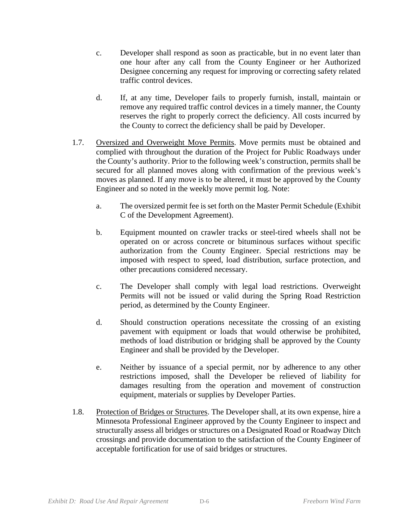- c. Developer shall respond as soon as practicable, but in no event later than one hour after any call from the County Engineer or her Authorized Designee concerning any request for improving or correcting safety related traffic control devices.
- d. If, at any time, Developer fails to properly furnish, install, maintain or remove any required traffic control devices in a timely manner, the County reserves the right to properly correct the deficiency. All costs incurred by the County to correct the deficiency shall be paid by Developer.
- 1.7. Oversized and Overweight Move Permits. Move permits must be obtained and complied with throughout the duration of the Project for Public Roadways under the County's authority. Prior to the following week's construction, permits shall be secured for all planned moves along with confirmation of the previous week's moves as planned. If any move is to be altered, it must be approved by the County Engineer and so noted in the weekly move permit log. Note:
	- a. The oversized permit fee is set forth on the Master Permit Schedule (Exhibit C of the Development Agreement).
	- b. Equipment mounted on crawler tracks or steel-tired wheels shall not be operated on or across concrete or bituminous surfaces without specific authorization from the County Engineer. Special restrictions may be imposed with respect to speed, load distribution, surface protection, and other precautions considered necessary.
	- c. The Developer shall comply with legal load restrictions. Overweight Permits will not be issued or valid during the Spring Road Restriction period, as determined by the County Engineer.
	- d. Should construction operations necessitate the crossing of an existing pavement with equipment or loads that would otherwise be prohibited, methods of load distribution or bridging shall be approved by the County Engineer and shall be provided by the Developer.
	- e. Neither by issuance of a special permit, nor by adherence to any other restrictions imposed, shall the Developer be relieved of liability for damages resulting from the operation and movement of construction equipment, materials or supplies by Developer Parties.
- 1.8. Protection of Bridges or Structures. The Developer shall, at its own expense, hire a Minnesota Professional Engineer approved by the County Engineer to inspect and structurally assess all bridges or structures on a Designated Road or Roadway Ditch crossings and provide documentation to the satisfaction of the County Engineer of acceptable fortification for use of said bridges or structures.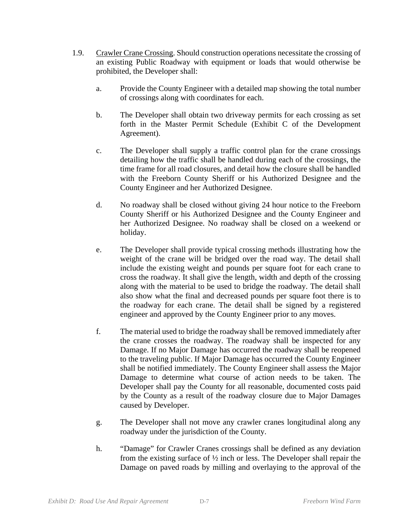- 1.9. Crawler Crane Crossing. Should construction operations necessitate the crossing of an existing Public Roadway with equipment or loads that would otherwise be prohibited, the Developer shall:
	- a. Provide the County Engineer with a detailed map showing the total number of crossings along with coordinates for each.
	- b. The Developer shall obtain two driveway permits for each crossing as set forth in the Master Permit Schedule (Exhibit C of the Development Agreement).
	- c. The Developer shall supply a traffic control plan for the crane crossings detailing how the traffic shall be handled during each of the crossings, the time frame for all road closures, and detail how the closure shall be handled with the Freeborn County Sheriff or his Authorized Designee and the County Engineer and her Authorized Designee.
	- d. No roadway shall be closed without giving 24 hour notice to the Freeborn County Sheriff or his Authorized Designee and the County Engineer and her Authorized Designee. No roadway shall be closed on a weekend or holiday.
	- e. The Developer shall provide typical crossing methods illustrating how the weight of the crane will be bridged over the road way. The detail shall include the existing weight and pounds per square foot for each crane to cross the roadway. It shall give the length, width and depth of the crossing along with the material to be used to bridge the roadway. The detail shall also show what the final and decreased pounds per square foot there is to the roadway for each crane. The detail shall be signed by a registered engineer and approved by the County Engineer prior to any moves.
	- f. The material used to bridge the roadway shall be removed immediately after the crane crosses the roadway. The roadway shall be inspected for any Damage. If no Major Damage has occurred the roadway shall be reopened to the traveling public. If Major Damage has occurred the County Engineer shall be notified immediately. The County Engineer shall assess the Major Damage to determine what course of action needs to be taken. The Developer shall pay the County for all reasonable, documented costs paid by the County as a result of the roadway closure due to Major Damages caused by Developer.
	- g. The Developer shall not move any crawler cranes longitudinal along any roadway under the jurisdiction of the County.
	- h. "Damage" for Crawler Cranes crossings shall be defined as any deviation from the existing surface of ½ inch or less. The Developer shall repair the Damage on paved roads by milling and overlaying to the approval of the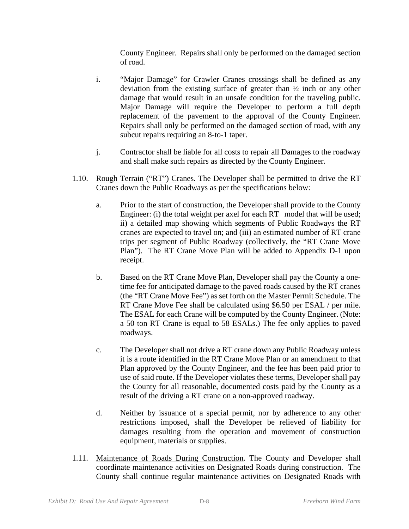County Engineer. Repairs shall only be performed on the damaged section of road.

- i. "Major Damage" for Crawler Cranes crossings shall be defined as any deviation from the existing surface of greater than ½ inch or any other damage that would result in an unsafe condition for the traveling public. Major Damage will require the Developer to perform a full depth replacement of the pavement to the approval of the County Engineer. Repairs shall only be performed on the damaged section of road, with any subcut repairs requiring an 8-to-1 taper.
- j. Contractor shall be liable for all costs to repair all Damages to the roadway and shall make such repairs as directed by the County Engineer.
- 1.10. Rough Terrain ("RT") Cranes. The Developer shall be permitted to drive the RT Cranes down the Public Roadways as per the specifications below:
	- a. Prior to the start of construction, the Developer shall provide to the County Engineer: (i) the total weight per axel for each RT model that will be used; ii) a detailed map showing which segments of Public Roadways the RT cranes are expected to travel on; and (iii) an estimated number of RT crane trips per segment of Public Roadway (collectively, the "RT Crane Move Plan"). The RT Crane Move Plan will be added to Appendix D-1 upon receipt.
	- b. Based on the RT Crane Move Plan, Developer shall pay the County a onetime fee for anticipated damage to the paved roads caused by the RT cranes (the "RT Crane Move Fee") as set forth on the Master Permit Schedule. The RT Crane Move Fee shall be calculated using \$6.50 per ESAL / per mile. The ESAL for each Crane will be computed by the County Engineer. (Note: a 50 ton RT Crane is equal to 58 ESALs.) The fee only applies to paved roadways.
	- c. The Developer shall not drive a RT crane down any Public Roadway unless it is a route identified in the RT Crane Move Plan or an amendment to that Plan approved by the County Engineer, and the fee has been paid prior to use of said route. If the Developer violates these terms, Developer shall pay the County for all reasonable, documented costs paid by the County as a result of the driving a RT crane on a non-approved roadway.
	- d. Neither by issuance of a special permit, nor by adherence to any other restrictions imposed, shall the Developer be relieved of liability for damages resulting from the operation and movement of construction equipment, materials or supplies.
- 1.11. Maintenance of Roads During Construction. The County and Developer shall coordinate maintenance activities on Designated Roads during construction. The County shall continue regular maintenance activities on Designated Roads with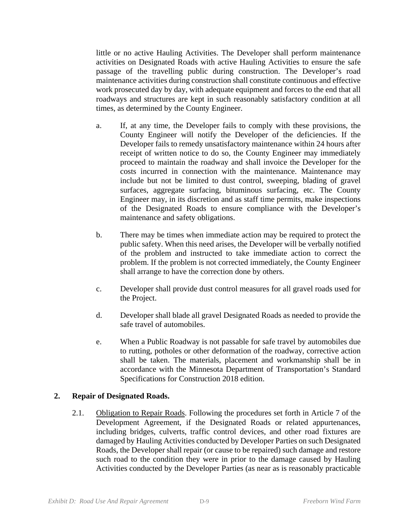little or no active Hauling Activities. The Developer shall perform maintenance activities on Designated Roads with active Hauling Activities to ensure the safe passage of the travelling public during construction. The Developer's road maintenance activities during construction shall constitute continuous and effective work prosecuted day by day, with adequate equipment and forces to the end that all roadways and structures are kept in such reasonably satisfactory condition at all times, as determined by the County Engineer.

- a. If, at any time, the Developer fails to comply with these provisions, the County Engineer will notify the Developer of the deficiencies. If the Developer fails to remedy unsatisfactory maintenance within 24 hours after receipt of written notice to do so, the County Engineer may immediately proceed to maintain the roadway and shall invoice the Developer for the costs incurred in connection with the maintenance. Maintenance may include but not be limited to dust control, sweeping, blading of gravel surfaces, aggregate surfacing, bituminous surfacing, etc. The County Engineer may, in its discretion and as staff time permits, make inspections of the Designated Roads to ensure compliance with the Developer's maintenance and safety obligations.
- b. There may be times when immediate action may be required to protect the public safety. When this need arises, the Developer will be verbally notified of the problem and instructed to take immediate action to correct the problem. If the problem is not corrected immediately, the County Engineer shall arrange to have the correction done by others.
- c. Developer shall provide dust control measures for all gravel roads used for the Project.
- d. Developer shall blade all gravel Designated Roads as needed to provide the safe travel of automobiles.
- e. When a Public Roadway is not passable for safe travel by automobiles due to rutting, potholes or other deformation of the roadway, corrective action shall be taken. The materials, placement and workmanship shall be in accordance with the Minnesota Department of Transportation's Standard Specifications for Construction 2018 edition.

# **2. Repair of Designated Roads.**

2.1. Obligation to Repair Roads. Following the procedures set forth in Article 7 of the Development Agreement, if the Designated Roads or related appurtenances, including bridges, culverts, traffic control devices, and other road fixtures are damaged by Hauling Activities conducted by Developer Parties on such Designated Roads, the Developer shall repair (or cause to be repaired) such damage and restore such road to the condition they were in prior to the damage caused by Hauling Activities conducted by the Developer Parties (as near as is reasonably practicable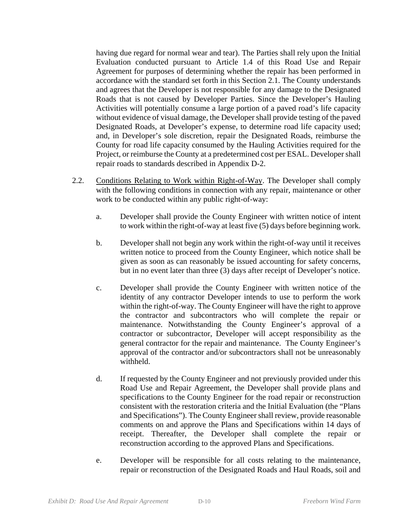having due regard for normal wear and tear). The Parties shall rely upon the Initial Evaluation conducted pursuant to Article 1.4 of this Road Use and Repair Agreement for purposes of determining whether the repair has been performed in accordance with the standard set forth in this Section 2.1. The County understands and agrees that the Developer is not responsible for any damage to the Designated Roads that is not caused by Developer Parties. Since the Developer's Hauling Activities will potentially consume a large portion of a paved road's life capacity without evidence of visual damage, the Developer shall provide testing of the paved Designated Roads, at Developer's expense, to determine road life capacity used; and, in Developer's sole discretion, repair the Designated Roads, reimburse the County for road life capacity consumed by the Hauling Activities required for the Project, or reimburse the County at a predetermined cost per ESAL. Developer shall repair roads to standards described in Appendix D-2.

- 2.2. Conditions Relating to Work within Right-of-Way. The Developer shall comply with the following conditions in connection with any repair, maintenance or other work to be conducted within any public right-of-way:
	- a. Developer shall provide the County Engineer with written notice of intent to work within the right-of-way at least five (5) days before beginning work.
	- b. Developer shall not begin any work within the right-of-way until it receives written notice to proceed from the County Engineer, which notice shall be given as soon as can reasonably be issued accounting for safety concerns, but in no event later than three (3) days after receipt of Developer's notice.
	- c. Developer shall provide the County Engineer with written notice of the identity of any contractor Developer intends to use to perform the work within the right-of-way. The County Engineer will have the right to approve the contractor and subcontractors who will complete the repair or maintenance. Notwithstanding the County Engineer's approval of a contractor or subcontractor, Developer will accept responsibility as the general contractor for the repair and maintenance. The County Engineer's approval of the contractor and/or subcontractors shall not be unreasonably withheld.
	- d. If requested by the County Engineer and not previously provided under this Road Use and Repair Agreement, the Developer shall provide plans and specifications to the County Engineer for the road repair or reconstruction consistent with the restoration criteria and the Initial Evaluation (the "Plans and Specifications"). The County Engineer shall review, provide reasonable comments on and approve the Plans and Specifications within 14 days of receipt. Thereafter, the Developer shall complete the repair or reconstruction according to the approved Plans and Specifications.
	- e. Developer will be responsible for all costs relating to the maintenance, repair or reconstruction of the Designated Roads and Haul Roads, soil and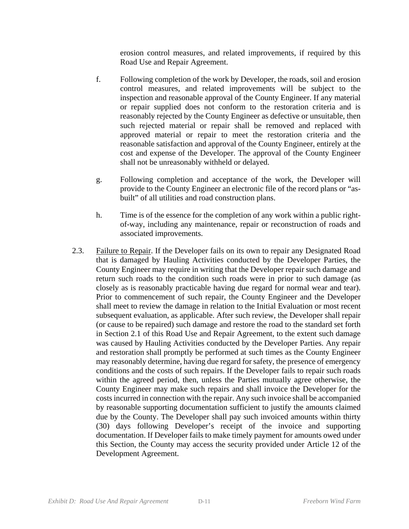erosion control measures, and related improvements, if required by this Road Use and Repair Agreement.

- f. Following completion of the work by Developer, the roads, soil and erosion control measures, and related improvements will be subject to the inspection and reasonable approval of the County Engineer. If any material or repair supplied does not conform to the restoration criteria and is reasonably rejected by the County Engineer as defective or unsuitable, then such rejected material or repair shall be removed and replaced with approved material or repair to meet the restoration criteria and the reasonable satisfaction and approval of the County Engineer, entirely at the cost and expense of the Developer. The approval of the County Engineer shall not be unreasonably withheld or delayed.
- g. Following completion and acceptance of the work, the Developer will provide to the County Engineer an electronic file of the record plans or "asbuilt" of all utilities and road construction plans.
- h. Time is of the essence for the completion of any work within a public rightof-way, including any maintenance, repair or reconstruction of roads and associated improvements.
- 2.3. Failure to Repair. If the Developer fails on its own to repair any Designated Road that is damaged by Hauling Activities conducted by the Developer Parties, the County Engineer may require in writing that the Developer repair such damage and return such roads to the condition such roads were in prior to such damage (as closely as is reasonably practicable having due regard for normal wear and tear). Prior to commencement of such repair, the County Engineer and the Developer shall meet to review the damage in relation to the Initial Evaluation or most recent subsequent evaluation, as applicable. After such review, the Developer shall repair (or cause to be repaired) such damage and restore the road to the standard set forth in Section 2.1 of this Road Use and Repair Agreement, to the extent such damage was caused by Hauling Activities conducted by the Developer Parties. Any repair and restoration shall promptly be performed at such times as the County Engineer may reasonably determine, having due regard for safety, the presence of emergency conditions and the costs of such repairs. If the Developer fails to repair such roads within the agreed period, then, unless the Parties mutually agree otherwise, the County Engineer may make such repairs and shall invoice the Developer for the costs incurred in connection with the repair. Any such invoice shall be accompanied by reasonable supporting documentation sufficient to justify the amounts claimed due by the County. The Developer shall pay such invoiced amounts within thirty (30) days following Developer's receipt of the invoice and supporting documentation. If Developer fails to make timely payment for amounts owed under this Section, the County may access the security provided under Article 12 of the Development Agreement.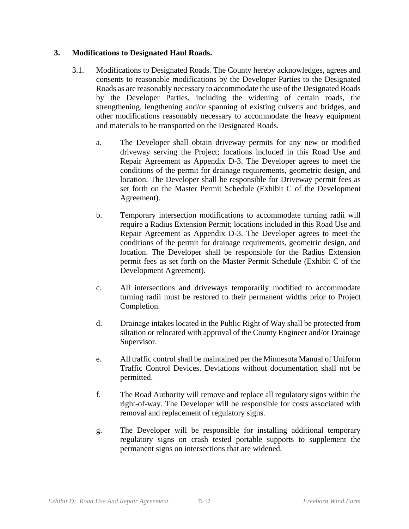# **3. Modifications to Designated Haul Roads.**

- 3.1. Modifications to Designated Roads. The County hereby acknowledges, agrees and consents to reasonable modifications by the Developer Parties to the Designated Roads as are reasonably necessary to accommodate the use of the Designated Roads by the Developer Parties, including the widening of certain roads, the strengthening, lengthening and/or spanning of existing culverts and bridges, and other modifications reasonably necessary to accommodate the heavy equipment and materials to be transported on the Designated Roads.
	- a. The Developer shall obtain driveway permits for any new or modified driveway serving the Project; locations included in this Road Use and Repair Agreement as Appendix D-3. The Developer agrees to meet the conditions of the permit for drainage requirements, geometric design, and location. The Developer shall be responsible for Driveway permit fees as set forth on the Master Permit Schedule (Exhibit C of the Development Agreement).
	- b. Temporary intersection modifications to accommodate turning radii will require a Radius Extension Permit; locations included in this Road Use and Repair Agreement as Appendix D-3. The Developer agrees to meet the conditions of the permit for drainage requirements, geometric design, and location. The Developer shall be responsible for the Radius Extension permit fees as set forth on the Master Permit Schedule (Exhibit C of the Development Agreement).
	- c. All intersections and driveways temporarily modified to accommodate turning radii must be restored to their permanent widths prior to Project Completion.
	- d. Drainage intakes located in the Public Right of Way shall be protected from siltation or relocated with approval of the County Engineer and/or Drainage Supervisor.
	- e. All traffic control shall be maintained per the Minnesota Manual of Uniform Traffic Control Devices. Deviations without documentation shall not be permitted.
	- f. The Road Authority will remove and replace all regulatory signs within the right-of-way. The Developer will be responsible for costs associated with removal and replacement of regulatory signs.
	- g. The Developer will be responsible for installing additional temporary regulatory signs on crash tested portable supports to supplement the permanent signs on intersections that are widened.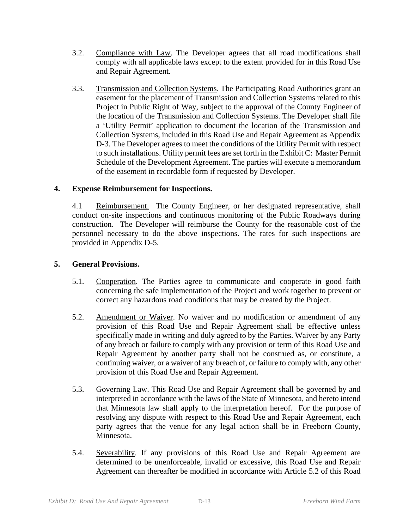- 3.2. Compliance with Law. The Developer agrees that all road modifications shall comply with all applicable laws except to the extent provided for in this Road Use and Repair Agreement.
- 3.3. Transmission and Collection Systems. The Participating Road Authorities grant an easement for the placement of Transmission and Collection Systems related to this Project in Public Right of Way, subject to the approval of the County Engineer of the location of the Transmission and Collection Systems. The Developer shall file a 'Utility Permit' application to document the location of the Transmission and Collection Systems, included in this Road Use and Repair Agreement as Appendix D-3. The Developer agrees to meet the conditions of the Utility Permit with respect to such installations. Utility permit fees are set forth in the Exhibit C: Master Permit Schedule of the Development Agreement. The parties will execute a memorandum of the easement in recordable form if requested by Developer.

# **4. Expense Reimbursement for Inspections.**

4.1 Reimbursement. The County Engineer, or her designated representative, shall conduct on-site inspections and continuous monitoring of the Public Roadways during construction. The Developer will reimburse the County for the reasonable cost of the personnel necessary to do the above inspections. The rates for such inspections are provided in Appendix D-5.

# **5. General Provisions.**

- 5.1. Cooperation. The Parties agree to communicate and cooperate in good faith concerning the safe implementation of the Project and work together to prevent or correct any hazardous road conditions that may be created by the Project.
- 5.2. Amendment or Waiver. No waiver and no modification or amendment of any provision of this Road Use and Repair Agreement shall be effective unless specifically made in writing and duly agreed to by the Parties. Waiver by any Party of any breach or failure to comply with any provision or term of this Road Use and Repair Agreement by another party shall not be construed as, or constitute, a continuing waiver, or a waiver of any breach of, or failure to comply with, any other provision of this Road Use and Repair Agreement.
- 5.3. Governing Law. This Road Use and Repair Agreement shall be governed by and interpreted in accordance with the laws of the State of Minnesota, and hereto intend that Minnesota law shall apply to the interpretation hereof. For the purpose of resolving any dispute with respect to this Road Use and Repair Agreement, each party agrees that the venue for any legal action shall be in Freeborn County, Minnesota.
- 5.4. Severability. If any provisions of this Road Use and Repair Agreement are determined to be unenforceable, invalid or excessive, this Road Use and Repair Agreement can thereafter be modified in accordance with Article 5.2 of this Road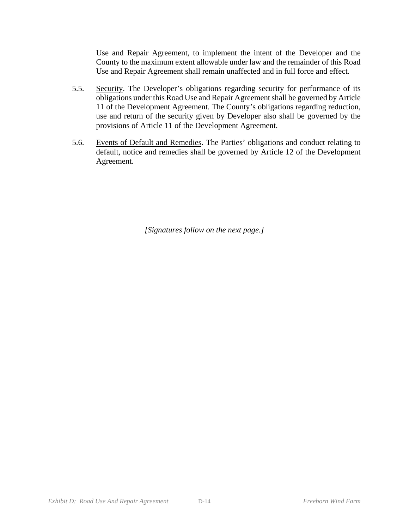Use and Repair Agreement, to implement the intent of the Developer and the County to the maximum extent allowable under law and the remainder of this Road Use and Repair Agreement shall remain unaffected and in full force and effect.

- 5.5. Security. The Developer's obligations regarding security for performance of its obligations under this Road Use and Repair Agreement shall be governed by Article 11 of the Development Agreement. The County's obligations regarding reduction, use and return of the security given by Developer also shall be governed by the provisions of Article 11 of the Development Agreement.
- 5.6. Events of Default and Remedies. The Parties' obligations and conduct relating to default, notice and remedies shall be governed by Article 12 of the Development Agreement.

*[Signatures follow on the next page.]*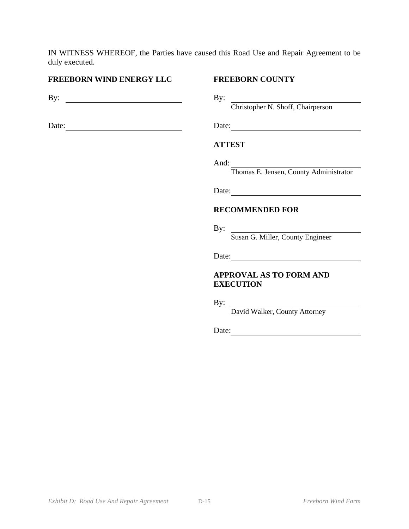IN WITNESS WHEREOF, the Parties have caused this Road Use and Repair Agreement to be duly executed.

## **FREEBORN WIND ENERGY LLC FREEBORN COUNTY**

By: By:

Date: Date: Date:

Christopher N. Shoff, Chairperson

## **ATTEST**

 And: Thomas E. Jensen, County Administrator

Date:

## **RECOMMENDED FOR**

 By: Susan G. Miller, County Engineer

Date:

# **APPROVAL AS TO FORM AND EXECUTION**

By:

David Walker, County Attorney

Date: 2008. [2010]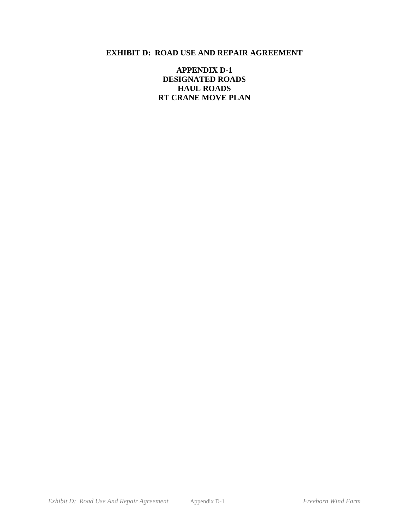**APPENDIX D-1 DESIGNATED ROADS HAUL ROADS RT CRANE MOVE PLAN**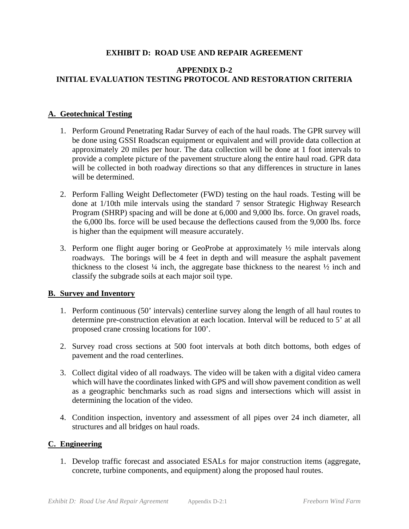# **APPENDIX D-2 INITIAL EVALUATION TESTING PROTOCOL AND RESTORATION CRITERIA**

## **A. Geotechnical Testing**

- 1. Perform Ground Penetrating Radar Survey of each of the haul roads. The GPR survey will be done using GSSI Roadscan equipment or equivalent and will provide data collection at approximately 20 miles per hour. The data collection will be done at 1 foot intervals to provide a complete picture of the pavement structure along the entire haul road. GPR data will be collected in both roadway directions so that any differences in structure in lanes will be determined.
- 2. Perform Falling Weight Deflectometer (FWD) testing on the haul roads. Testing will be done at 1/10th mile intervals using the standard 7 sensor Strategic Highway Research Program (SHRP) spacing and will be done at 6,000 and 9,000 lbs. force. On gravel roads, the 6,000 lbs. force will be used because the deflections caused from the 9,000 lbs. force is higher than the equipment will measure accurately.
- 3. Perform one flight auger boring or GeoProbe at approximately ½ mile intervals along roadways. The borings will be 4 feet in depth and will measure the asphalt pavement thickness to the closest  $\frac{1}{4}$  inch, the aggregate base thickness to the nearest  $\frac{1}{2}$  inch and classify the subgrade soils at each major soil type.

## **B. Survey and Inventory**

- 1. Perform continuous (50' intervals) centerline survey along the length of all haul routes to determine pre-construction elevation at each location. Interval will be reduced to 5' at all proposed crane crossing locations for 100'.
- 2. Survey road cross sections at 500 foot intervals at both ditch bottoms, both edges of pavement and the road centerlines.
- 3. Collect digital video of all roadways. The video will be taken with a digital video camera which will have the coordinates linked with GPS and will show pavement condition as well as a geographic benchmarks such as road signs and intersections which will assist in determining the location of the video.
- 4. Condition inspection, inventory and assessment of all pipes over 24 inch diameter, all structures and all bridges on haul roads.

## **C. Engineering**

1. Develop traffic forecast and associated ESALs for major construction items (aggregate, concrete, turbine components, and equipment) along the proposed haul routes.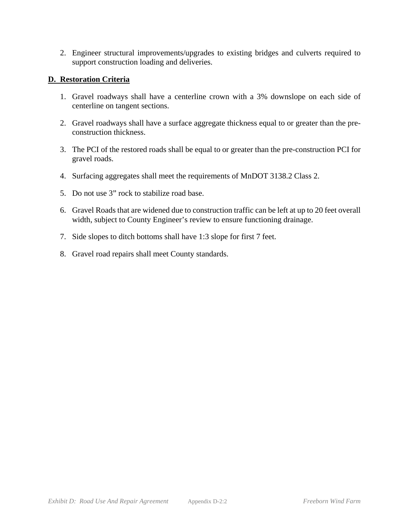2. Engineer structural improvements/upgrades to existing bridges and culverts required to support construction loading and deliveries.

# **D. Restoration Criteria**

- 1. Gravel roadways shall have a centerline crown with a 3% downslope on each side of centerline on tangent sections.
- 2. Gravel roadways shall have a surface aggregate thickness equal to or greater than the preconstruction thickness.
- 3. The PCI of the restored roads shall be equal to or greater than the pre-construction PCI for gravel roads.
- 4. Surfacing aggregates shall meet the requirements of MnDOT 3138.2 Class 2.
- 5. Do not use 3" rock to stabilize road base.
- 6. Gravel Roads that are widened due to construction traffic can be left at up to 20 feet overall width, subject to County Engineer's review to ensure functioning drainage.
- 7. Side slopes to ditch bottoms shall have 1:3 slope for first 7 feet.
- 8. Gravel road repairs shall meet County standards.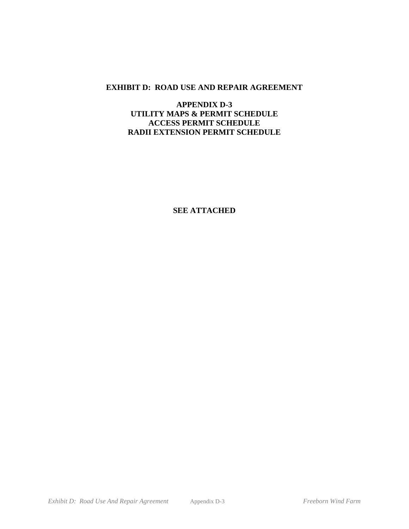# **APPENDIX D-3 UTILITY MAPS & PERMIT SCHEDULE ACCESS PERMIT SCHEDULE RADII EXTENSION PERMIT SCHEDULE**

**SEE ATTACHED**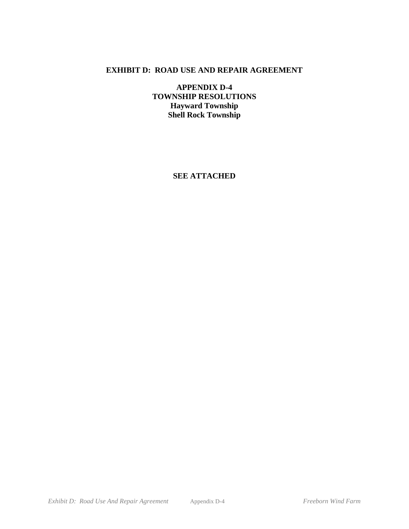**APPENDIX D-4 TOWNSHIP RESOLUTIONS Hayward Township Shell Rock Township** 

**SEE ATTACHED**